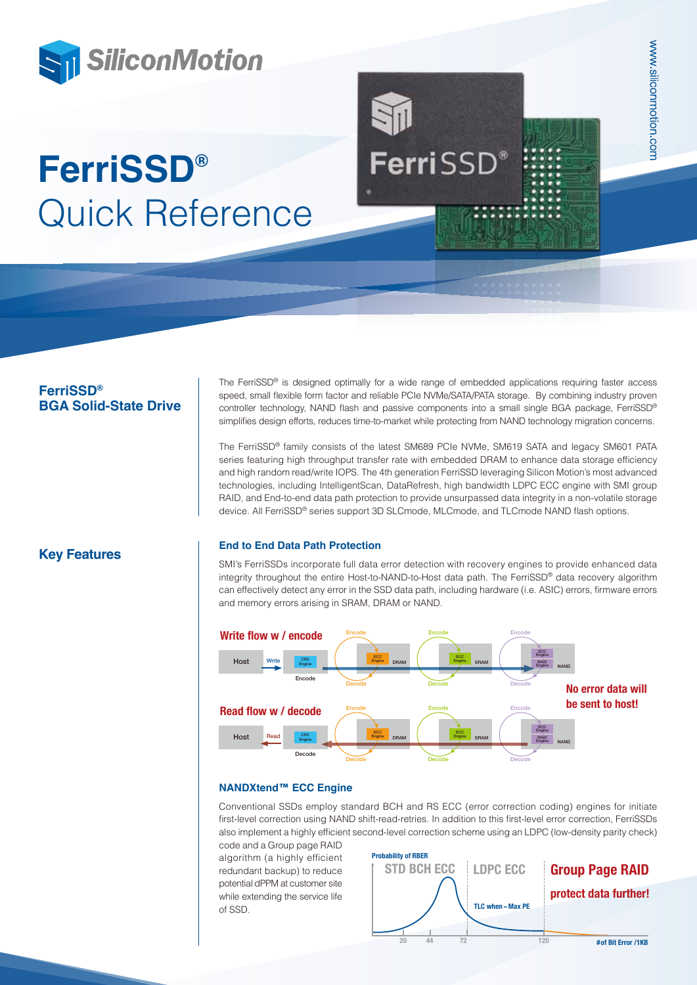

# **FerriSSD® BGA Solid-State Drive**

The FerriSSD® is designed optimally for a wide range of embedded applications requiring faster access speed, small flexible form factor and reliable PCIe NVMe/SATA/PATA storage. By combining industry proven controller technology, NAND flash and passive components into a small single BGA package, FerriSSD® simplifies design efforts, reduces time-to-market while protecting from NAND technology migration concerns.

The FerriSSD® family consists of the latest SM689 PCIe NVMe, SM619 SATA and legacy SM601 PATA series featuring high throughput transfer rate with embedded DRAM to enhance data storage efficiency and high random read/write IOPS. The 4th generation FerriSSD leveraging Silicon Motion's most advanced technologies, including IntelligentScan, DataRefresh, high bandwidth LDPC ECC engine with SMI group RAID, and End-to-end data path protection to provide unsurpassed data integrity in a non-volatile storage device. All FerriSSD® series support 3D SLCmode, MLCmode, and TLCmode NAND flash options.

# **Key Features End to End Data Path Protection**

SMI's FerriSSDs incorporate full data error detection with recovery engines to provide enhanced data integrity throughout the entire Host-to-NAND-to-Host data path. The FerriSSD® data recovery algorithm can effectively detect any error in the SSD data path, including hardware (i.e. ASIC) errors, firmware errors and memory errors arising in SRAM, DRAM or NAND.



### **NANDXtend™ ECC Engine**

Conventional SSDs employ standard BCH and RS ECC (error correction coding) engines for initiate first-level correction using NAND shift-read-retries. In addition to this first-level error correction, FerriSSDs also implement a highly efficient second-level correction scheme using an LDPC (low-density parity check)

code and a Group page RAID algorithm (a highly efficient redundant backup) to reduce potential dPPM at customer site while extending the service life of SSD.